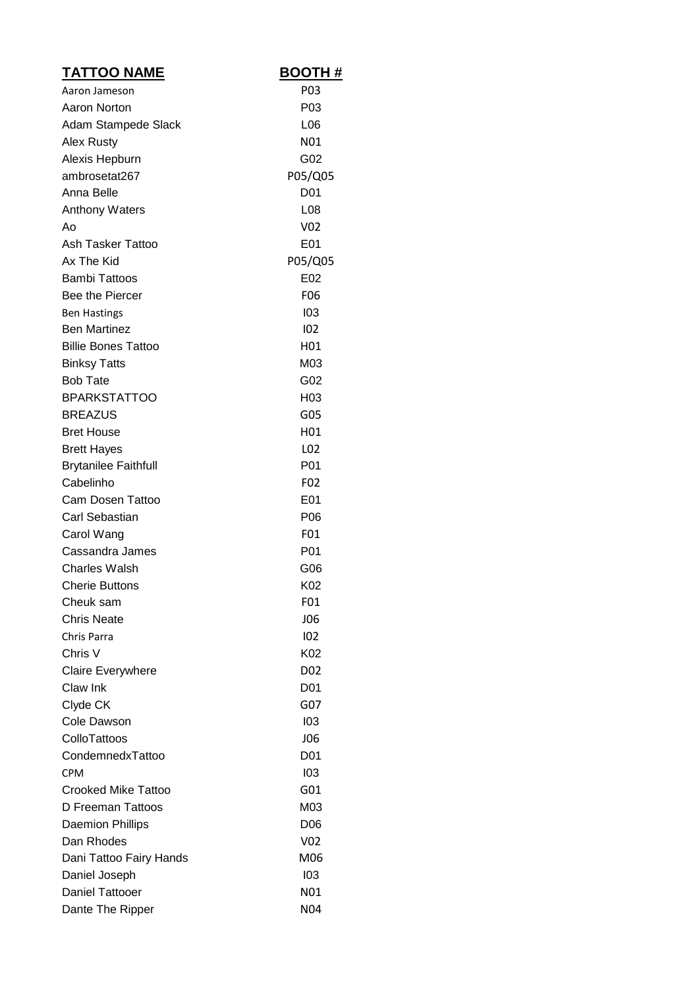| <b>TATTOO NAME</b>          | <b>BOOTH#</b>    |
|-----------------------------|------------------|
| Aaron Jameson               | P <sub>0</sub> 3 |
| Aaron Norton                | P03              |
| Adam Stampede Slack         | L <sub>06</sub>  |
| Alex Rusty                  | N01              |
| Alexis Hepburn              | G02              |
| ambrosetat267               | P05/Q05          |
| Anna Belle                  | D <sub>0</sub> 1 |
| <b>Anthony Waters</b>       | L <sub>0</sub> 8 |
| Ao                          | V02              |
| Ash Tasker Tattoo           | E01              |
| Ax The Kid                  | P05/Q05          |
| <b>Bambi Tattoos</b>        | E02              |
| Bee the Piercer             | F06              |
| <b>Ben Hastings</b>         | 103              |
| <b>Ben Martinez</b>         | 102              |
| <b>Billie Bones Tattoo</b>  | H01              |
| <b>Binksy Tatts</b>         | M03              |
| <b>Bob Tate</b>             | G02              |
| <b>BPARKSTATTOO</b>         | H <sub>03</sub>  |
| <b>BREAZUS</b>              | G05              |
| <b>Bret House</b>           | H01              |
| <b>Brett Hayes</b>          | L02              |
| <b>Brytanilee Faithfull</b> | P01              |
| Cabelinho                   | F <sub>0</sub> 2 |
| Cam Dosen Tattoo            | E01              |
| Carl Sebastian              | P <sub>06</sub>  |
| Carol Wang                  | F01              |
| Cassandra James             | P01              |
| <b>Charles Walsh</b>        | G06              |
| <b>Cherie Buttons</b>       | K02              |
| Cheuk sam                   | F01              |
| <b>Chris Neate</b>          | <b>JO6</b>       |
| Chris Parra                 | 102              |
| Chris V                     | K02              |
| <b>Claire Everywhere</b>    | D <sub>0</sub> 2 |
| Claw Ink                    | D <sub>01</sub>  |
| Clyde CK                    | G07              |
| Cole Dawson                 | 103              |
| ColloTattoos                | <b>JO6</b>       |
| CondemnedxTattoo            | D01              |
| CPM                         | 103              |
| <b>Crooked Mike Tattoo</b>  | G01              |
| D Freeman Tattoos           | M03              |
| <b>Daemion Phillips</b>     | D <sub>06</sub>  |
| Dan Rhodes                  | V02              |
| Dani Tattoo Fairy Hands     | M06              |
| Daniel Joseph               | 103              |
| <b>Daniel Tattooer</b>      | N01              |
| Dante The Ripper            | N04              |
|                             |                  |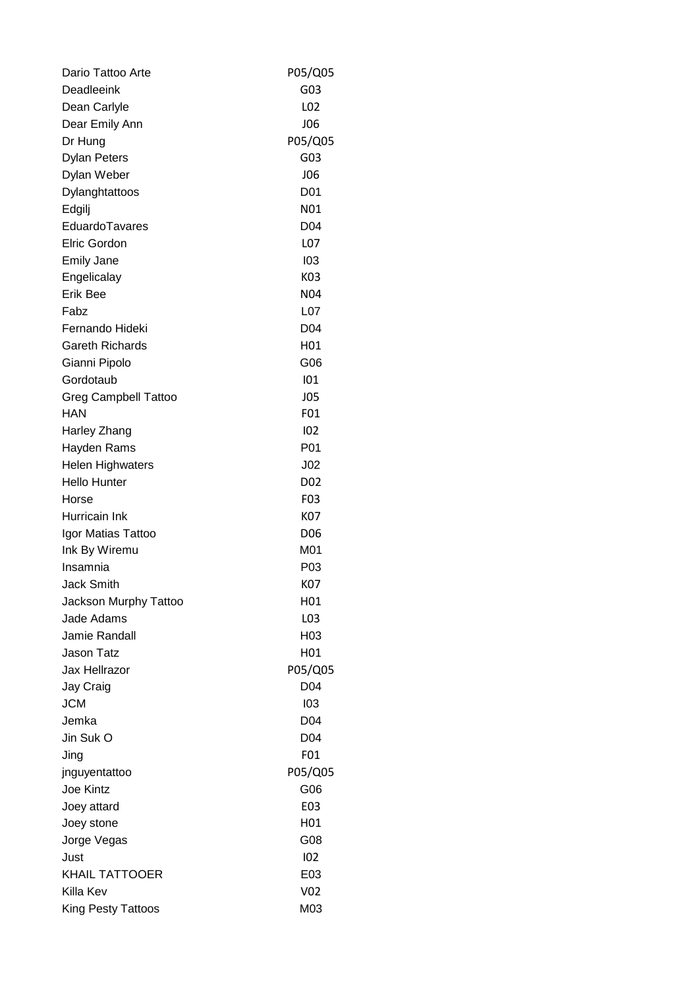| Dario Tattoo Arte                  | P05/Q05          |
|------------------------------------|------------------|
| Deadleeink                         | G03              |
| Dean Carlyle                       | L02              |
| Dear Emily Ann                     | <b>JO6</b>       |
| Dr Hung                            | P05/Q05          |
| <b>Dylan Peters</b>                | G03              |
| Dylan Weber                        | <b>JO6</b>       |
| Dylanghtattoos                     | D <sub>01</sub>  |
| Edgilj                             | N01              |
| EduardoTavares                     | D04              |
| Elric Gordon                       | L07              |
| <b>Emily Jane</b>                  | 103              |
| Engelicalay                        | K03              |
| <b>Erik Bee</b>                    | N04              |
| Fabz                               | L07              |
| Fernando Hideki                    | D04              |
| <b>Gareth Richards</b>             | H01              |
| Gianni Pipolo                      | G06              |
| Gordotaub                          | 101              |
|                                    | <b>JO5</b>       |
| <b>Greg Campbell Tattoo</b><br>HAN | F01              |
|                                    | 102              |
| Harley Zhang                       |                  |
| Hayden Rams                        | P01              |
| <b>Helen Highwaters</b>            | $J_{02}$         |
| <b>Hello Hunter</b>                | D <sub>02</sub>  |
| Horse                              | F <sub>0</sub> 3 |
| Hurricain Ink                      | K07              |
| Igor Matias Tattoo                 | D <sub>06</sub>  |
| Ink By Wiremu                      | M01              |
| Insamnia                           | P03              |
| <b>Jack Smith</b>                  | K07              |
| Jackson Murphy Tattoo              | H01              |
| Jade Adams                         | L <sub>03</sub>  |
| Jamie Randall                      | H03              |
| <b>Jason Tatz</b>                  | H <sub>01</sub>  |
| Jax Hellrazor                      | P05/Q05          |
| Jay Craig                          | D04              |
| <b>JCM</b>                         | 103              |
| Jemka                              | D <sub>04</sub>  |
| Jin Suk O                          | D <sub>04</sub>  |
| Jing                               | F01              |
| jnguyentattoo                      | P05/Q05          |
| <b>Joe Kintz</b>                   | G06              |
| Joey attard                        | E03              |
| Joey stone                         | H01              |
| Jorge Vegas                        | G08              |
| Just                               | 102              |
| <b>KHAIL TATTOOER</b>              | E03              |
| Killa Kev                          | V <sub>02</sub>  |
| King Pesty Tattoos                 | M03              |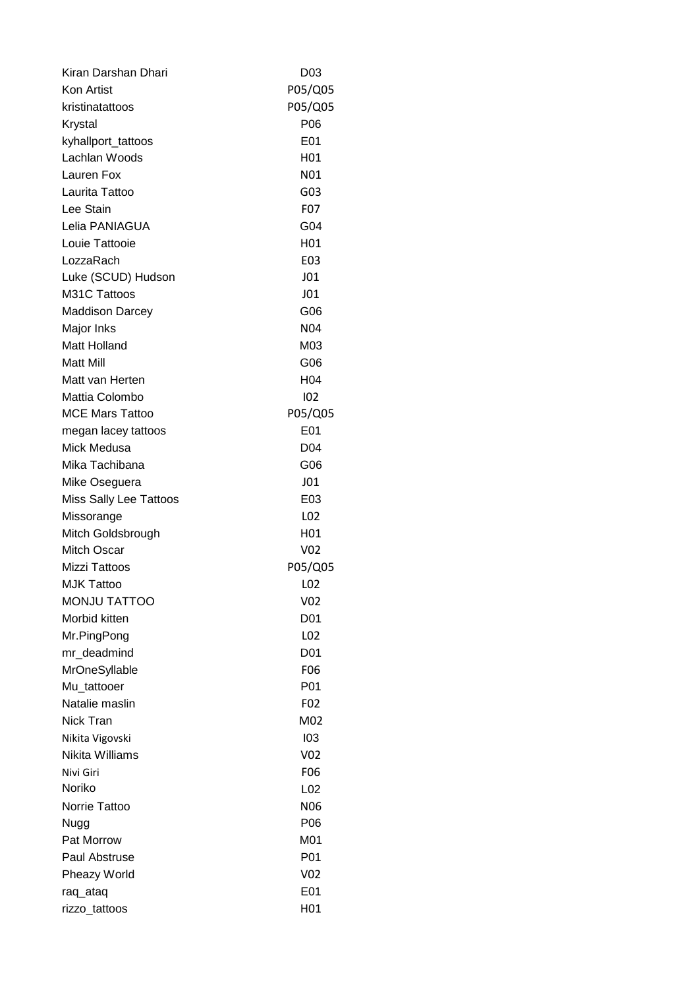| Kiran Darshan Dhari    | D03                            |
|------------------------|--------------------------------|
| <b>Kon Artist</b>      | P05/Q05                        |
| kristinatattoos        | P05/Q05                        |
| Krystal                | P06                            |
| kyhallport_tattoos     | E01                            |
| Lachlan Woods          | H01                            |
| Lauren Fox             | N01                            |
| Laurita Tattoo         | G03                            |
| Lee Stain              | F07                            |
| Lelia PANIAGUA         | G04                            |
| Louie Tattooie         | H01                            |
| LozzaRach              | E03                            |
| Luke (SCUD) Hudson     | J <sub>01</sub>                |
| M31C Tattoos           | J <sub>01</sub>                |
| <b>Maddison Darcey</b> | G06                            |
| Major Inks             | <b>N04</b>                     |
| Matt Holland           | M03                            |
| <b>Matt Mill</b>       | G06                            |
| Matt van Herten        | H <sub>04</sub>                |
| Mattia Colombo         | 102                            |
| <b>MCE Mars Tattoo</b> | P05/Q05                        |
| megan lacey tattoos    | E01                            |
| Mick Medusa            | D <sub>04</sub>                |
| Mika Tachibana         | G06                            |
| Mike Oseguera          | J <sub>01</sub>                |
| Miss Sally Lee Tattoos | E03                            |
| Missorange             | L <sub>02</sub>                |
| Mitch Goldsbrough      | H <sub>01</sub>                |
| <b>Mitch Oscar</b>     | V <sub>02</sub>                |
| <b>Mizzi Tattoos</b>   | P05/Q05                        |
| <b>MJK Tattoo</b>      | L <sub>02</sub>                |
| <b>MONJU TATTOO</b>    | V02                            |
| Morbid kitten          | D <sub>01</sub>                |
| Mr.PingPong            | L02                            |
|                        |                                |
| mr_deadmind            | D <sub>0</sub> 1<br><b>F06</b> |
| MrOneSyllable          |                                |
| Mu tattooer            | P01                            |
| Natalie maslin         | F <sub>02</sub>                |
| Nick Tran              | M02                            |
| Nikita Vigovski        | 103                            |
| Nikita Williams        | V02                            |
| Nivi Giri              | F06                            |
| Noriko                 | L <sub>02</sub>                |
| Norrie Tattoo          | <b>N06</b>                     |
| Nugg                   | P06                            |
| Pat Morrow             | M01                            |
| Paul Abstruse          | P01                            |
| Pheazy World           | V02                            |
| raq_ataq               | E01                            |
| rizzo_tattoos          | H01                            |